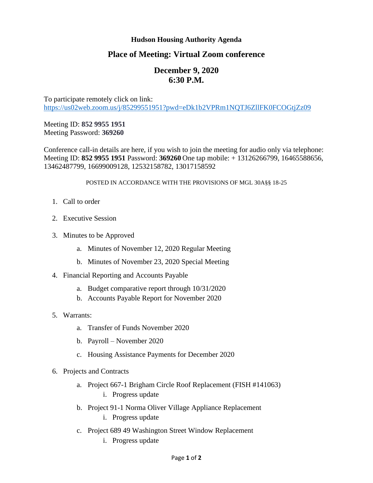## **Hudson Housing Authority Agenda**

## **Place of Meeting: Virtual Zoom conference**

## **December 9, 2020 6:30 P.M.**

To participate remotely click on link: <https://us02web.zoom.us/j/85299551951?pwd=eDk1b2VPRm1NQTJ6ZllFK0FCOGtjZz09>

Meeting ID: **852 9955 1951** Meeting Password: **369260**

Conference call-in details are here, if you wish to join the meeting for audio only via telephone: Meeting ID: **852 9955 1951** Password: **369260** One tap mobile: + 13126266799, 16465588656, 13462487799, 16699009128, 12532158782, 13017158592

## POSTED IN ACCORDANCE WITH THE PROVISIONS OF MGL 30A§§ 18-25

- 1. Call to order
- 2. Executive Session
- 3. Minutes to be Approved
	- a. Minutes of November 12, 2020 Regular Meeting
	- b. Minutes of November 23, 2020 Special Meeting
- 4. Financial Reporting and Accounts Payable
	- a. Budget comparative report through 10/31/2020
	- b. Accounts Payable Report for November 2020
- 5. Warrants:
	- a. Transfer of Funds November 2020
	- b. Payroll November 2020
	- c. Housing Assistance Payments for December 2020
- 6. Projects and Contracts
	- a. Project 667-1 Brigham Circle Roof Replacement (FISH #141063) i. Progress update
	- b. Project 91-1 Norma Oliver Village Appliance Replacement
		- i. Progress update
	- c. Project 689 49 Washington Street Window Replacement
		- i. Progress update